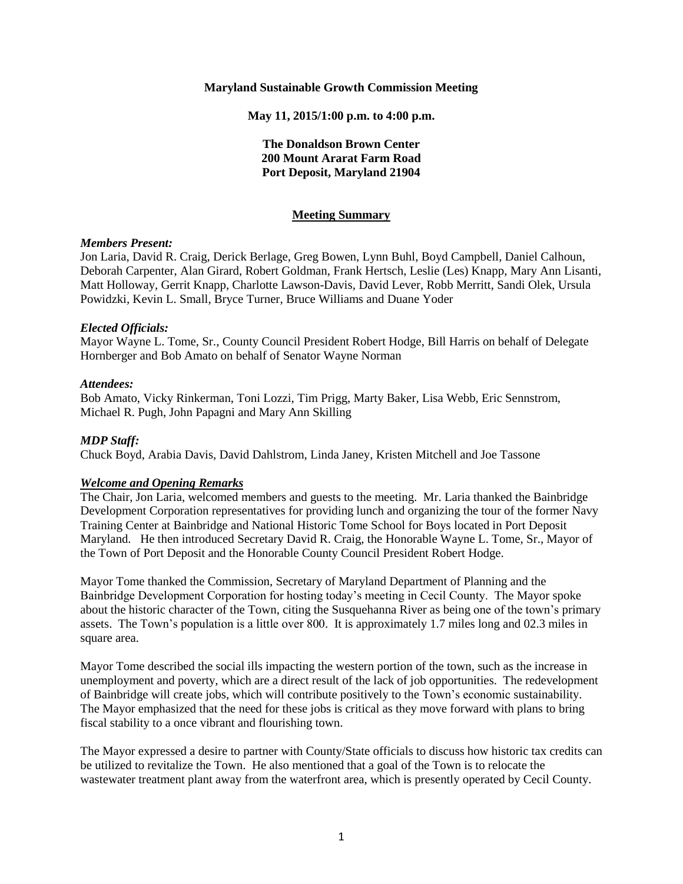#### **Maryland Sustainable Growth Commission Meeting**

**May 11, 2015/1:00 p.m. to 4:00 p.m.**

# **The Donaldson Brown Center 200 Mount Ararat Farm Road Port Deposit, Maryland 21904**

## **Meeting Summary**

### *Members Present:*

Jon Laria, David R. Craig, Derick Berlage, Greg Bowen, Lynn Buhl, Boyd Campbell, Daniel Calhoun, Deborah Carpenter, Alan Girard, Robert Goldman, Frank Hertsch, Leslie (Les) Knapp, Mary Ann Lisanti, Matt Holloway, Gerrit Knapp, Charlotte Lawson-Davis, David Lever, Robb Merritt, Sandi Olek, Ursula Powidzki, Kevin L. Small, Bryce Turner, Bruce Williams and Duane Yoder

### *Elected Officials:*

Mayor Wayne L. Tome, Sr., County Council President Robert Hodge, Bill Harris on behalf of Delegate Hornberger and Bob Amato on behalf of Senator Wayne Norman

### *Attendees:*

Bob Amato, Vicky Rinkerman, Toni Lozzi, Tim Prigg, Marty Baker, Lisa Webb, Eric Sennstrom, Michael R. Pugh, John Papagni and Mary Ann Skilling

#### *MDP Staff:*

Chuck Boyd, Arabia Davis, David Dahlstrom, Linda Janey, Kristen Mitchell and Joe Tassone

#### *Welcome and Opening Remarks*

The Chair, Jon Laria, welcomed members and guests to the meeting. Mr. Laria thanked the Bainbridge Development Corporation representatives for providing lunch and organizing the tour of the former Navy Training Center at Bainbridge and National Historic Tome School for Boys located in Port Deposit Maryland. He then introduced Secretary David R. Craig, the Honorable Wayne L. Tome, Sr., Mayor of the Town of Port Deposit and the Honorable County Council President Robert Hodge.

Mayor Tome thanked the Commission, Secretary of Maryland Department of Planning and the Bainbridge Development Corporation for hosting today's meeting in Cecil County. The Mayor spoke about the historic character of the Town, citing the Susquehanna River as being one of the town's primary assets. The Town's population is a little over 800. It is approximately 1.7 miles long and 02.3 miles in square area.

Mayor Tome described the social ills impacting the western portion of the town, such as the increase in unemployment and poverty, which are a direct result of the lack of job opportunities. The redevelopment of Bainbridge will create jobs, which will contribute positively to the Town's economic sustainability. The Mayor emphasized that the need for these jobs is critical as they move forward with plans to bring fiscal stability to a once vibrant and flourishing town.

The Mayor expressed a desire to partner with County/State officials to discuss how historic tax credits can be utilized to revitalize the Town. He also mentioned that a goal of the Town is to relocate the wastewater treatment plant away from the waterfront area, which is presently operated by Cecil County.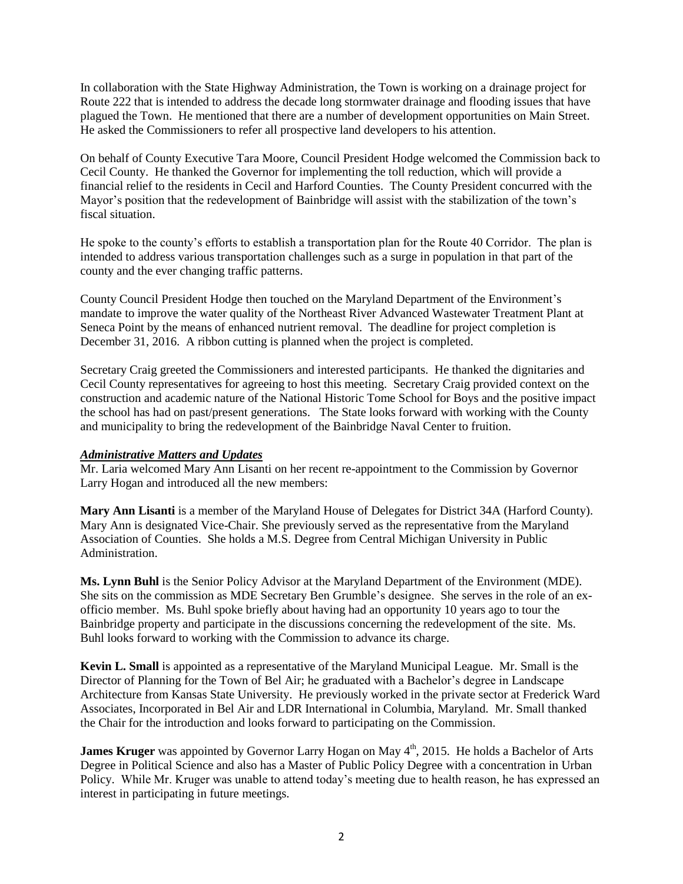In collaboration with the State Highway Administration, the Town is working on a drainage project for Route 222 that is intended to address the decade long stormwater drainage and flooding issues that have plagued the Town. He mentioned that there are a number of development opportunities on Main Street. He asked the Commissioners to refer all prospective land developers to his attention.

On behalf of County Executive Tara Moore, Council President Hodge welcomed the Commission back to Cecil County. He thanked the Governor for implementing the toll reduction, which will provide a financial relief to the residents in Cecil and Harford Counties. The County President concurred with the Mayor's position that the redevelopment of Bainbridge will assist with the stabilization of the town's fiscal situation.

He spoke to the county's efforts to establish a transportation plan for the Route 40 Corridor. The plan is intended to address various transportation challenges such as a surge in population in that part of the county and the ever changing traffic patterns.

County Council President Hodge then touched on the Maryland Department of the Environment's mandate to improve the water quality of the Northeast River Advanced Wastewater Treatment Plant at Seneca Point by the means of enhanced nutrient removal. The deadline for project completion is December 31, 2016. A ribbon cutting is planned when the project is completed.

Secretary Craig greeted the Commissioners and interested participants. He thanked the dignitaries and Cecil County representatives for agreeing to host this meeting. Secretary Craig provided context on the construction and academic nature of the National Historic Tome School for Boys and the positive impact the school has had on past/present generations. The State looks forward with working with the County and municipality to bring the redevelopment of the Bainbridge Naval Center to fruition.

## *Administrative Matters and Updates*

Mr. Laria welcomed Mary Ann Lisanti on her recent re-appointment to the Commission by Governor Larry Hogan and introduced all the new members:

**Mary Ann Lisanti** is a member of the Maryland House of Delegates for District 34A (Harford County). Mary Ann is designated Vice-Chair. She previously served as the representative from the Maryland Association of Counties. She holds a M.S. Degree from Central Michigan University in Public Administration.

**Ms. Lynn Buhl** is the Senior Policy Advisor at the Maryland Department of the Environment (MDE). She sits on the commission as MDE Secretary Ben Grumble's designee. She serves in the role of an exofficio member. Ms. Buhl spoke briefly about having had an opportunity 10 years ago to tour the Bainbridge property and participate in the discussions concerning the redevelopment of the site. Ms. Buhl looks forward to working with the Commission to advance its charge.

**Kevin L. Small** is appointed as a representative of the Maryland Municipal League. Mr. Small is the Director of Planning for the Town of Bel Air; he graduated with a Bachelor's degree in Landscape Architecture from Kansas State University. He previously worked in the private sector at Frederick Ward Associates, Incorporated in Bel Air and LDR International in Columbia, Maryland. Mr. Small thanked the Chair for the introduction and looks forward to participating on the Commission.

**James Kruger** was appointed by Governor Larry Hogan on May 4<sup>th</sup>, 2015. He holds a Bachelor of Arts Degree in Political Science and also has a Master of Public Policy Degree with a concentration in Urban Policy. While Mr. Kruger was unable to attend today's meeting due to health reason, he has expressed an interest in participating in future meetings.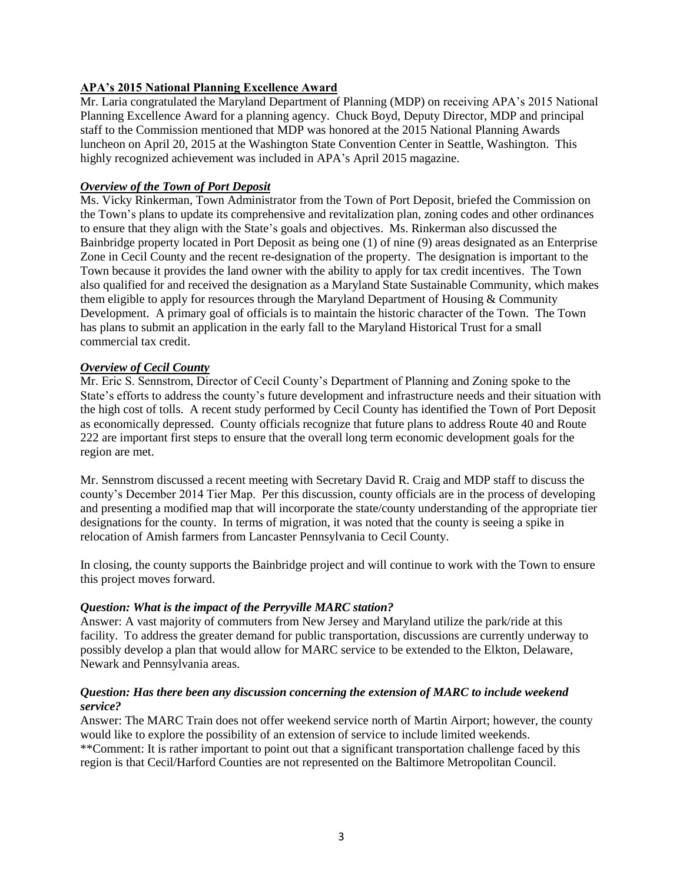# **APA's 2015 National Planning Excellence Award**

Mr. Laria congratulated the Maryland Department of Planning (MDP) on receiving APA's 2015 National Planning Excellence Award for a planning agency. Chuck Boyd, Deputy Director, MDP and principal staff to the Commission mentioned that MDP was honored at the 2015 National Planning Awards luncheon on April 20, 2015 at the Washington State Convention Center in Seattle, Washington. This highly recognized achievement was included in APA's April 2015 magazine.

## *Overview of the Town of Port Deposit*

Ms. Vicky Rinkerman, Town Administrator from the Town of Port Deposit, briefed the Commission on the Town's plans to update its comprehensive and revitalization plan, zoning codes and other ordinances to ensure that they align with the State's goals and objectives. Ms. Rinkerman also discussed the Bainbridge property located in Port Deposit as being one (1) of nine (9) areas designated as an Enterprise Zone in Cecil County and the recent re-designation of the property. The designation is important to the Town because it provides the land owner with the ability to apply for tax credit incentives. The Town also qualified for and received the designation as a Maryland State Sustainable Community, which makes them eligible to apply for resources through the Maryland Department of Housing & Community Development. A primary goal of officials is to maintain the historic character of the Town. The Town has plans to submit an application in the early fall to the Maryland Historical Trust for a small commercial tax credit.

## *Overview of Cecil County*

Mr. Eric S. Sennstrom, Director of Cecil County's Department of Planning and Zoning spoke to the State's efforts to address the county's future development and infrastructure needs and their situation with the high cost of tolls. A recent study performed by Cecil County has identified the Town of Port Deposit as economically depressed. County officials recognize that future plans to address Route 40 and Route 222 are important first steps to ensure that the overall long term economic development goals for the region are met.

Mr. Sennstrom discussed a recent meeting with Secretary David R. Craig and MDP staff to discuss the county's December 2014 Tier Map. Per this discussion, county officials are in the process of developing and presenting a modified map that will incorporate the state/county understanding of the appropriate tier designations for the county. In terms of migration, it was noted that the county is seeing a spike in relocation of Amish farmers from Lancaster Pennsylvania to Cecil County.

In closing, the county supports the Bainbridge project and will continue to work with the Town to ensure this project moves forward.

## *Question: What is the impact of the Perryville MARC station?*

Answer: A vast majority of commuters from New Jersey and Maryland utilize the park/ride at this facility. To address the greater demand for public transportation, discussions are currently underway to possibly develop a plan that would allow for MARC service to be extended to the Elkton, Delaware, Newark and Pennsylvania areas.

## *Question: Has there been any discussion concerning the extension of MARC to include weekend service?*

Answer: The MARC Train does not offer weekend service north of Martin Airport; however, the county would like to explore the possibility of an extension of service to include limited weekends. \*\*Comment: It is rather important to point out that a significant transportation challenge faced by this region is that Cecil/Harford Counties are not represented on the Baltimore Metropolitan Council.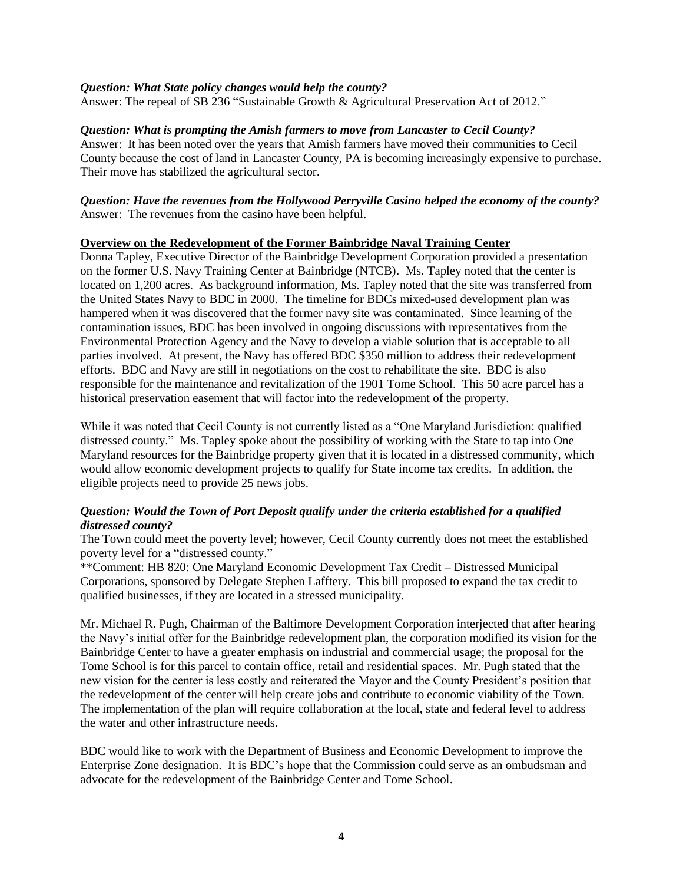## *Question: What State policy changes would help the county?*

Answer: The repeal of SB 236 "Sustainable Growth & Agricultural Preservation Act of 2012."

### *Question: What is prompting the Amish farmers to move from Lancaster to Cecil County?*

Answer: It has been noted over the years that Amish farmers have moved their communities to Cecil County because the cost of land in Lancaster County, PA is becoming increasingly expensive to purchase. Their move has stabilized the agricultural sector.

## *Question: Have the revenues from the Hollywood Perryville Casino helped the economy of the county?* Answer: The revenues from the casino have been helpful.

### **Overview on the Redevelopment of the Former Bainbridge Naval Training Center**

Donna Tapley, Executive Director of the Bainbridge Development Corporation provided a presentation on the former U.S. Navy Training Center at Bainbridge (NTCB). Ms. Tapley noted that the center is located on 1,200 acres. As background information, Ms. Tapley noted that the site was transferred from the United States Navy to BDC in 2000. The timeline for BDCs mixed-used development plan was hampered when it was discovered that the former navy site was contaminated. Since learning of the contamination issues, BDC has been involved in ongoing discussions with representatives from the Environmental Protection Agency and the Navy to develop a viable solution that is acceptable to all parties involved. At present, the Navy has offered BDC \$350 million to address their redevelopment efforts. BDC and Navy are still in negotiations on the cost to rehabilitate the site. BDC is also responsible for the maintenance and revitalization of the 1901 Tome School. This 50 acre parcel has a historical preservation easement that will factor into the redevelopment of the property.

While it was noted that Cecil County is not currently listed as a "One Maryland Jurisdiction: qualified distressed county." Ms. Tapley spoke about the possibility of working with the State to tap into One Maryland resources for the Bainbridge property given that it is located in a distressed community, which would allow economic development projects to qualify for State income tax credits. In addition, the eligible projects need to provide 25 news jobs.

## *Question: Would the Town of Port Deposit qualify under the criteria established for a qualified distressed county?*

The Town could meet the poverty level; however, Cecil County currently does not meet the established poverty level for a "distressed county."

\*\*Comment: HB 820: One Maryland Economic Development Tax Credit – Distressed Municipal Corporations, sponsored by Delegate Stephen Lafftery. This bill proposed to expand the tax credit to qualified businesses, if they are located in a stressed municipality.

Mr. Michael R. Pugh, Chairman of the Baltimore Development Corporation interjected that after hearing the Navy's initial offer for the Bainbridge redevelopment plan, the corporation modified its vision for the Bainbridge Center to have a greater emphasis on industrial and commercial usage; the proposal for the Tome School is for this parcel to contain office, retail and residential spaces. Mr. Pugh stated that the new vision for the center is less costly and reiterated the Mayor and the County President's position that the redevelopment of the center will help create jobs and contribute to economic viability of the Town. The implementation of the plan will require collaboration at the local, state and federal level to address the water and other infrastructure needs.

BDC would like to work with the Department of Business and Economic Development to improve the Enterprise Zone designation. It is BDC's hope that the Commission could serve as an ombudsman and advocate for the redevelopment of the Bainbridge Center and Tome School.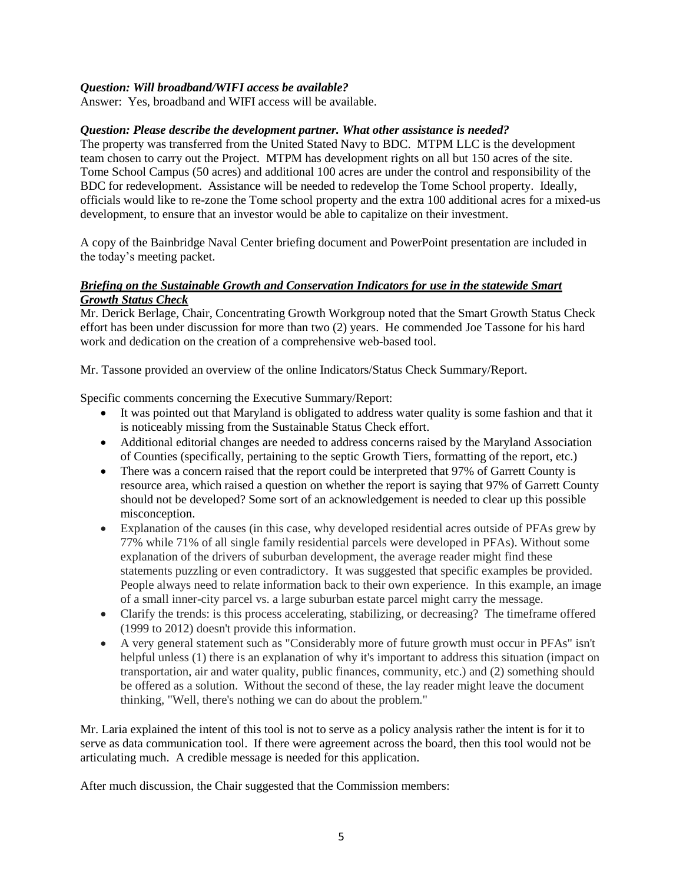# *Question: Will broadband/WIFI access be available?*

Answer: Yes, broadband and WIFI access will be available.

# *Question: Please describe the development partner. What other assistance is needed?*

The property was transferred from the United Stated Navy to BDC. MTPM LLC is the development team chosen to carry out the Project. MTPM has development rights on all but 150 acres of the site. Tome School Campus (50 acres) and additional 100 acres are under the control and responsibility of the BDC for redevelopment. Assistance will be needed to redevelop the Tome School property. Ideally, officials would like to re-zone the Tome school property and the extra 100 additional acres for a mixed-us development, to ensure that an investor would be able to capitalize on their investment.

A copy of the Bainbridge Naval Center briefing document and PowerPoint presentation are included in the today's meeting packet.

## *Briefing on the Sustainable Growth and Conservation Indicators for use in the statewide Smart Growth Status Check*

Mr. Derick Berlage, Chair, Concentrating Growth Workgroup noted that the Smart Growth Status Check effort has been under discussion for more than two (2) years. He commended Joe Tassone for his hard work and dedication on the creation of a comprehensive web-based tool.

Mr. Tassone provided an overview of the online Indicators/Status Check Summary/Report.

Specific comments concerning the Executive Summary/Report:

- It was pointed out that Maryland is obligated to address water quality is some fashion and that it is noticeably missing from the Sustainable Status Check effort.
- Additional editorial changes are needed to address concerns raised by the Maryland Association of Counties (specifically, pertaining to the septic Growth Tiers, formatting of the report, etc.)
- There was a concern raised that the report could be interpreted that 97% of Garrett County is resource area, which raised a question on whether the report is saying that 97% of Garrett County should not be developed? Some sort of an acknowledgement is needed to clear up this possible misconception.
- Explanation of the causes (in this case, why developed residential acres outside of PFAs grew by 77% while 71% of all single family residential parcels were developed in PFAs). Without some explanation of the drivers of suburban development, the average reader might find these statements puzzling or even contradictory. It was suggested that specific examples be provided. People always need to relate information back to their own experience. In this example, an image of a small inner-city parcel vs. a large suburban estate parcel might carry the message.
- Clarify the trends: is this process accelerating, stabilizing, or decreasing? The timeframe offered (1999 to 2012) doesn't provide this information.
- A very general statement such as "Considerably more of future growth must occur in PFAs" isn't helpful unless (1) there is an explanation of why it's important to address this situation (impact on transportation, air and water quality, public finances, community, etc.) and (2) something should be offered as a solution. Without the second of these, the lay reader might leave the document thinking, "Well, there's nothing we can do about the problem."

Mr. Laria explained the intent of this tool is not to serve as a policy analysis rather the intent is for it to serve as data communication tool. If there were agreement across the board, then this tool would not be articulating much. A credible message is needed for this application.

After much discussion, the Chair suggested that the Commission members: